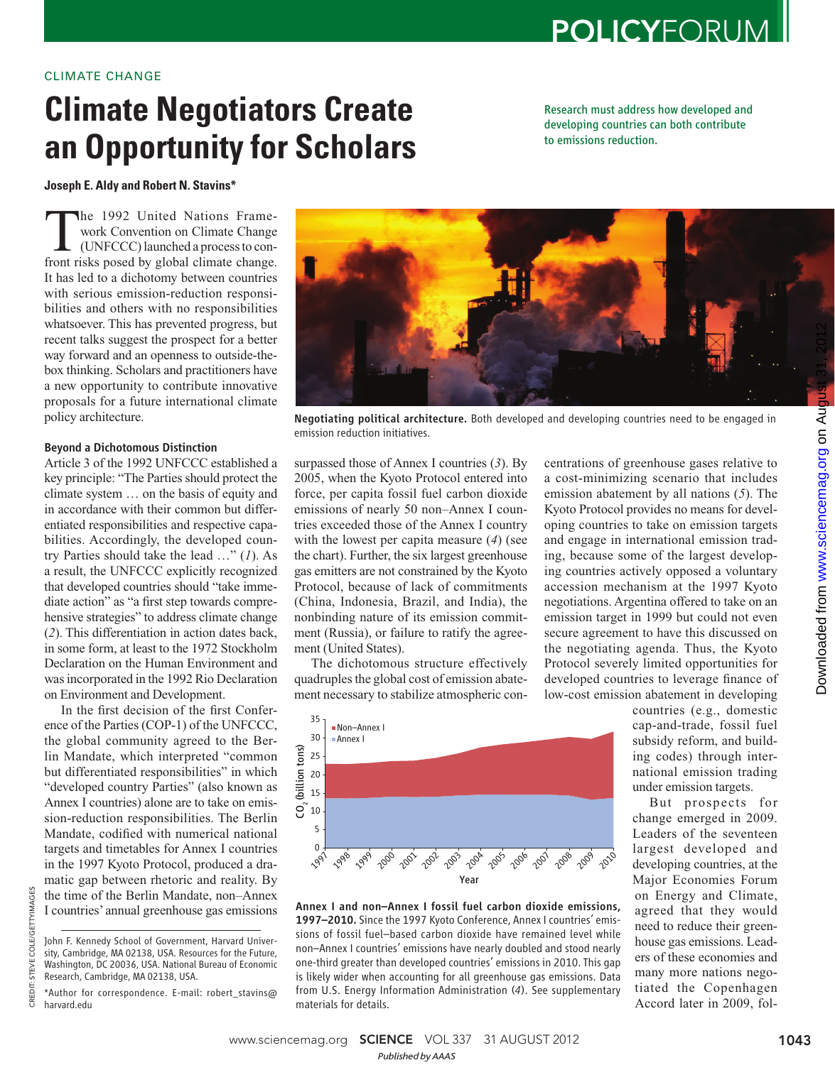## CLIMATE CHANGE

# **Climate Negotiators Create an Opportunity for Scholars**

Research must address how developed and developing countries can both contribute to emissions reduction.

**Joseph E. Aldy and Robert N. Stavins \*** 

The 1992 United Nations Frame-<br>
work Convention on Climate Change<br>
(UNFCCC) launched a process to con-<br>
front risks nosed by global climate change work Convention on Climate Change front risks posed by global climate change. It has led to a dichotomy between countries with serious emission-reduction responsibilities and others with no responsibilities whatsoever. This has prevented progress, but recent talks suggest the prospect for a better way forward and an openness to outside-thebox thinking. Scholars and practitioners have a new opportunity to contribute innovative proposals for a future international climate policy architecture.

## Beyond a Dichotomous Distinction

Article 3 of the 1992 UNFCCC established a key principle: "The Parties should protect the climate system … on the basis of equity and in accordance with their common but differentiated responsibilities and respective capabilities. Accordingly, the developed country Parties should take the lead  $\ldots$ " (1). As a result, the UNFCCC explicitly recognized that developed countries should "take immediate action" as "a first step towards comprehensive strategies" to address climate change ( *2*). This differentiation in action dates back, in some form, at least to the 1972 Stockholm Declaration on the Human Environment and was incorporated in the 1992 Rio Declaration on Environment and Development.

In the first decision of the first Conference of the Parties (COP-1) of the UNFCCC, the global community agreed to the Berlin Mandate, which interpreted "common but differentiated responsibilities" in which "developed country Parties" (also known as Annex I countries) alone are to take on emission-reduction responsibilities. The Berlin Mandate, codified with numerical national targets and timetables for Annex I countries in the 1997 Kyoto Protocol, produced a dramatic gap between rhetoric and reality. By the time of the Berlin Mandate, non–Annex I countries' annual greenhouse gas emissions

CREDIT: STEVE COLE/GETTYIMAGES

CREDIT:

STEVE COLE/GETTYIMAGES



Negotiating political architecture. Both developed and developing countries need to be engaged in emission reduction initiatives.

surpassed those of Annex I countries (3). By 2005, when the Kyoto Protocol entered into force, per capita fossil fuel carbon dioxide emissions of nearly 50 non–Annex I countries exceeded those of the Annex I country with the lowest per capita measure (4) (see the chart). Further, the six largest greenhouse gas emitters are not constrained by the Kyoto Protocol, because of lack of commitments (China, Indonesia, Brazil, and India), the nonbinding nature of its emission commitment (Russia), or failure to ratify the agreement (United States).

The dichotomous structure effectively quadruples the global cost of emission abatement necessary to stabilize atmospheric con-



Annex I and non–Annex I fossil fuel carbon dioxide emissions, 1997–2010. Since the 1997 Kyoto Conference, Annex I countries' emissions of fossil fuel–based carbon dioxide have remained level while non–Annex I countries' emissions have nearly doubled and stood nearly one-third greater than developed countries' emissions in 2010. This gap is likely wider when accounting for all greenhouse gas emissions. Data from U.S. Energy Information Administration (*4*). See supplementary materials for details.

centrations of greenhouse gases relative to a cost-minimizing scenario that includes emission abatement by all nations (5). The Kyoto Protocol provides no means for developing countries to take on emission targets and engage in international emission trading, because some of the largest developing countries actively opposed a voluntary accession mechanism at the 1997 Kyoto negotiations. Argentina offered to take on an emission target in 1999 but could not even secure agreement to have this discussed on the negotiating agenda. Thus, the Kyoto Protocol severely limited opportunities for developed countries to leverage finance of low-cost emission abatement in developing

Downloaded from www.sciencemag.org on Augu [www.sciencemag.org](http://www.sciencemag.org/) Downloaded from

countries (e.g., domestic cap-and-trade, fossil fuel subsidy reform, and building codes) through international emission trading under emission targets.

But prospects for change emerged in 2009. Leaders of the seventeen largest developed and developing countries, at the Major Economies Forum on Energy and Climate, agreed that they would need to reduce their greenhouse gas emissions. Leaders of these economies and many more nations negotiated the Copenhagen Accord later in 2009, fol-

John F. Kennedy School of Government, Harvard University, Cambridge, MA 02138, USA. Resources for the Future, Washington, DC 20036, USA. National Bureau of Economic Research, Cambridge, MA 02138, USA.

<sup>\*</sup>Author for correspondence. E-mail: robert\_stavins@ harvard.edu